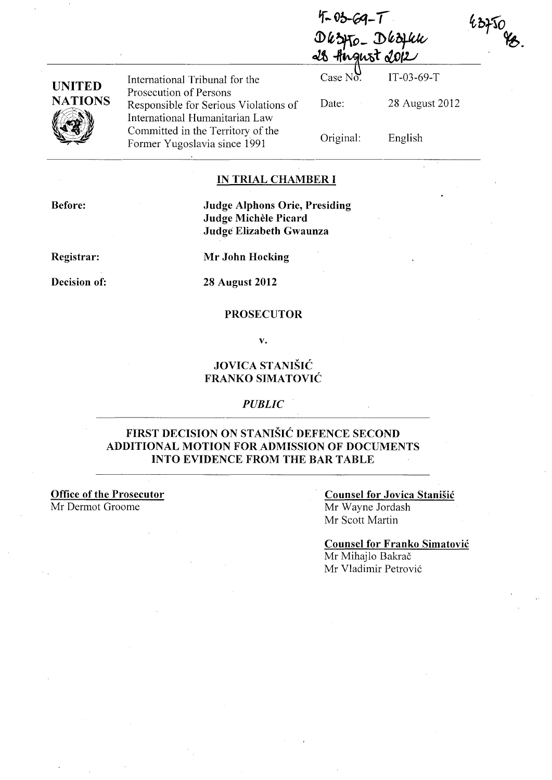$4 - 03 - 69 - 7$ Dkzyto\_Dkzyku

| UNITED         |
|----------------|
| <b>NATIONS</b> |
|                |

International Tribunal for the Prosecution of Persons Responsible for Serious Violations of International Humanitarian Law Committed in the Territory of the Former Yugoslavia since 1991

| Case $N_0$ <sup>U</sup> . | IT-03-69-T     |
|---------------------------|----------------|
| Date:                     | 28 August 2012 |
| Original:                 | English        |

 $43750$ 

#### **IN TRIAL CHAMBER I**

**Before:** 

**Judge Alphons Orie, Presiding Judge Michele Picard Judge Elizabeth Gwaunza** 

**Registrar:** 

**Mr John Hocking** 

**Decision of:** 

**28 August 2012** 

#### **PROSECUTOR**

**v.** 

## **JOVICA STANISIC FRANKO SIMATOVIC**

*PUBLIC* 

### **FIRST DECISION ON STANISIC DEFENCE SECOND ADDITIONAL MOTION** FOR ADMISSION **OF DOCUMENTS INTO EVIDENCE FROM THE BAR TABLE**

**Office of the Prosecutor**  Mr Dermot Groome

#### **Counsel for Jovica Stanisic**  Mr Wayne Jordash Mr Scott Martin

**Counsel for Franko Simatovic**  Mr Mihajlo Bakrač Mr Vladimir Petrovi6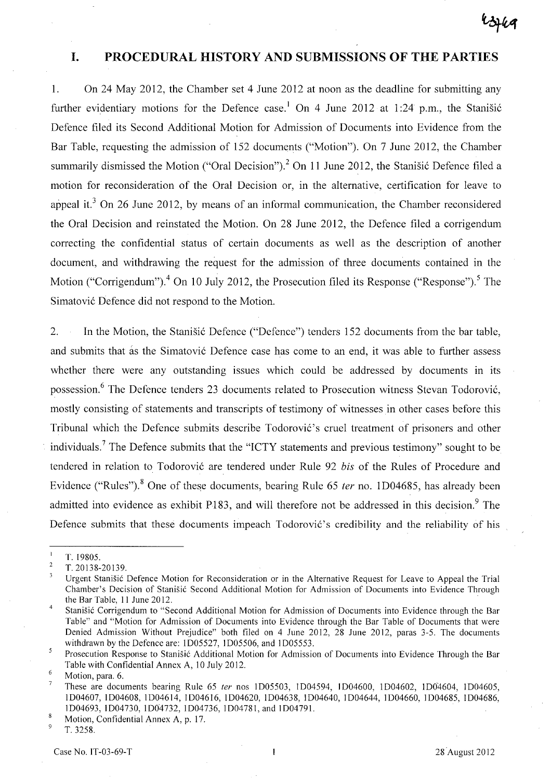## **I. PROCEDURAL HISTORY AND SUBMISSIONS OF THE PARTIES**

1. On 24 May 2012, the Chamber set 4 June 2012 at noon as the deadline for submitting any further evidentiary motions for the Defence case.<sup>1</sup> On 4 June 2012 at 1:24 p.m., the Stanisic Defence filed its Second Additional Motion for Admission of Documents into Evidence from the Bar Table, requesting the admission of 152 documents ("Motion"). On 7 June 2012, the Chamber summarily dismissed the Motion ("Oral Decision").<sup>2</sup> On 11 June 2012, the Stanisic Defence filed a motion for reconsideration of the Oral Decision or, in the alternative, certification for leave to appeal it.<sup>3</sup> On 26 June 2012, by means of an informal communication, the Chamber reconsidered the Oral Decision and reinstated the Motion. On 28 June 2012, the Defence filed a corrigendum correcting the confidential status of certain documents as well as the description of another document, and withdrawing the request for the admission of three documents contained in the Motion ("Corrigendum").<sup>4</sup> On 10 July 2012, the Prosecution filed its Response ("Response").<sup>5</sup> The Simatovic Defence did not respond to the Motion.

2. In the Motion, the Stanisic Defence ("Defence") tenders 152 documents from the bar table, and submits that as the Simatovic Defence case has come to an end, it was able to further assess whether there were any outstanding issues which could be addressed by documents in its possession.<sup>6</sup> The Defence tenders 23 documents related to Prosecution witness Stevan Todorović, mostly consisting of statements and transcripts of testimony of witnesses in other cases before this Tribunal which the Defence submits describe Todorović's cruel treatment of prisoners and other individuals.<sup>7</sup> The Defence submits that the "ICTY statements and previous testimony" sought to be tendered in relation to Todorovic are tendered under Rule 92 *bis* of the Rules of Procedure and Evidence ("Rules").<sup>8</sup> One of these documents, bearing Rule 65 *ter* no. 1D04685, has already been admitted into evidence as exhibit P183, and will therefore not be addressed in this decision.<sup>9</sup> The Defence submits that these documents impeach Todorović's credibility and the reliability of his

T.19805.

 $\overline{2}$ T.20138-20139.

Urgent Stanisic Defence Motion for Reconsideration or in the Alternative Request for Leave to Appeal the Trial Chamber's Decision of Stanisic Second Additional Motion for Admission of Documents into Evidence Through the Bar Table, 11 June 2012.

 $\overline{4}$ Stanisic Corrigendum to "Second Additional Motion for Admission of Documents into Evidence through the Bar Table" and "Motion for Admission of Documents into Evidence through the Bar Table of Documents that were Denied Admission Without Prejudice" both filed on 4 June 2012, 28 June 2012, paras 3-5. The documents withdrawn by the Defence are: 1005527, 1005506, and 1005553.

 $\overline{5}$ Prosecution Response to Stanisic Additional Motion for Admission of Documents into Evidence Through the Bar Table with Confidential Annex A, 10 July 2012.

<sup>6</sup> Motion, para. 6.

These are documents bearing Rule 65 ter nos 1D05503, 1D04594, 1D04600, 1D04602, 1D04604, 1D04605, 1004607, 1004608, 1004614, 1004616, 1004620, 1004638, 1004640, 1004644, 1004660, 1004685, 1004686, 1004693,1004730,100'4732, 1004736, 1004781, and 100479l.

 $\overline{8}$ Motion, Confidential Annex A, p. 17.

T. 3258,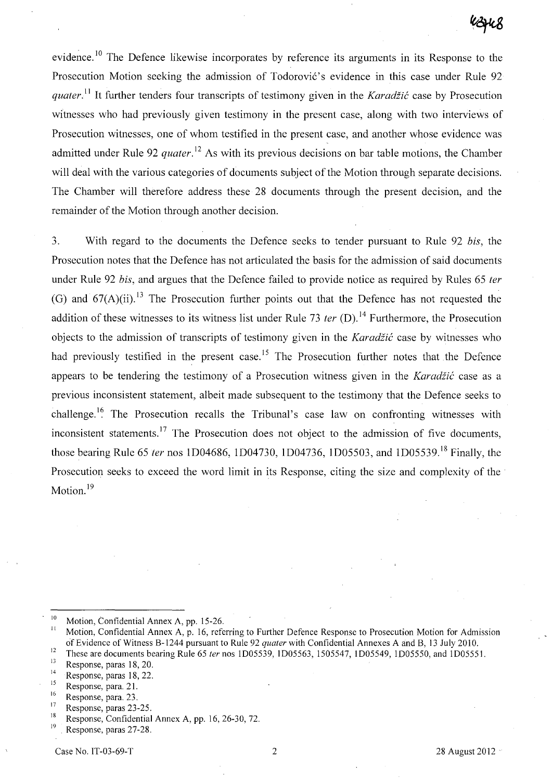evidence. <sup>10</sup> The Defence likewise incorporates by reference its arguments in its Response to the Prosecution Motion seeking the admission of Todorović's evidence in this case under Rule 92 *quater.*<sup>11</sup> It further tenders four transcripts of testimony given in the *Karadžić* case by Prosecution witnesses who had previously given testimony in the present case, along with two interviews of Prosecution witnesses, one of whom testified in the present case, and another whose evidence was admitted under Rule 92 *quater*.<sup>12</sup> As with its previous decisions on bar table motions, the Chamber will deal with the various categories of documents subject of the Motion through separate decisions. The Chamber will therefore address these 28 documents through the present decision, and the remainder of the Motion through another decision.

3. With regard to the documents the Defence seeks to tender pursuant to Rule 92 *bis,* the Prosecution notes that the Defence has not articulated the basis for the admission of said documents under Rule 92 *bis,* and argues that the Defence failed to provide notice as required by Rules 65 *ter*  (G) and  $67(A)(ii)$ .<sup>13</sup> The Prosecution further points out that the Defence has not requested the addition of these witnesses to its witness list under Rule 73 *ter* (D).<sup>14</sup> Furthermore, the Prosecution objects to the admission of transcripts of testimony given in the *Karadiic* case by witnesses who had previously testified in the present case.<sup>15</sup> The Prosecution further notes that the Defence appears to be tendering the testimony of a Prosecution witness given in the *Karadžić* case as a previous inconsistent statement, albeit made subsequent to the testimony that the Defence seeks to challenge.<sup>16</sup> The Prosecution recalls the Tribunal's case law on confronting witnesses with inconsistent statements.<sup>17</sup> The Prosecution does not object to the admission of five documents, those bearing Rule 65 *fer* nos ID04686, ID04730, ID04736, ID05503, and ID05539. 18 Finally, the Prosecution seeks to exceed the word limit in its Response, citing the size and complexity of the Motion.<sup>19</sup>

<sup>&</sup>lt;sup>10</sup> Motion, Confidential Annex A, pp. 15-26.

Motion, Confidential Annex A, p. 16, referring to Further Defence Response to Prosecution Motion for Admission of Evidence of Witness B-1244 pursuant to Rule 92 *quater* with Confidential Annexes A and B, 13 July 2010.

<sup>&</sup>lt;sup>12</sup> These are documents bearing Rule 65 *ter* nos 1D05539, 1D05563, 1505547, 1D05549, 1D05550, and 1D05551.

 $13 \t\t\t 15$ <br>
14 Response, paras 18, 22.<br>
15 Response, para. 21.<br>
16 Response para. 23

 $16$  Response, para. 23.

 $^{17}$  Response, paras 23-25.

<sup>&</sup>lt;sup>18</sup> Response, Confidential Annex A, pp. 16, 26-30, 72.

Response, paras 27-28.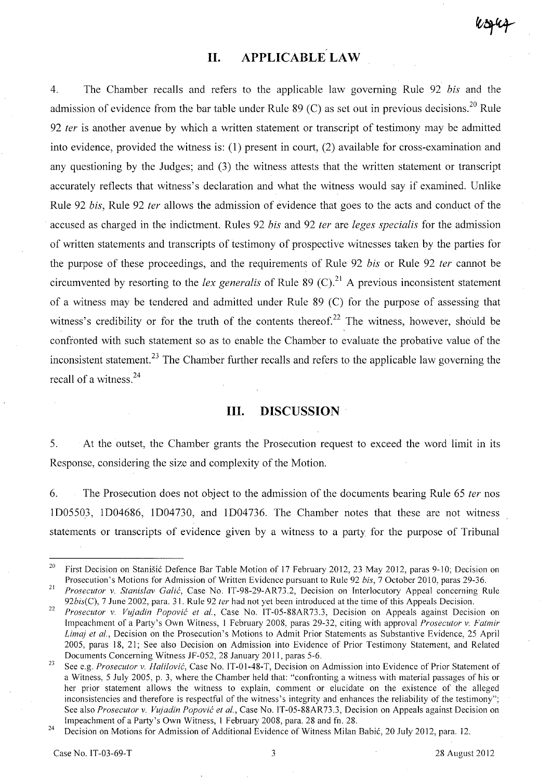# **II. APPLICABLE LAW**

4. The Chamber recalls and refers to the applicable law governing Rule 92 bis and the admission of evidence from the bar table under Rule 89 (C) as set out in previous decisions.<sup>20</sup> Rule 92 ter is another avenue by which a written statement or transcript of testimony may be admitted into evidence, provided the witness is: (1) present in court, (2) available for cross-examination and any questioning by the Judges; and (3) the witness attests that the written statement or transcript accurately reflects that witness's declaration and what the witness would say if examined. Unlike Rule 92 bis, Rule 92 ter allows the admission of evidence that goes to the acts and conduct of the accused as charged in the indictment. Rules 92 bis and 92 ter are leges specialis for the admission of written statements and transcripts of testimony of prospective witnesses taken by the parties for the purpose of these proceedings, and the requirements of Rule 92 bis or Rule 92 ter cannot be circumvented by resorting to the lex generalis of Rule 89 (C).<sup>21</sup> A previous inconsistent statement of a witness may be tendered and admitted under Rule 89 (C) for the purpose of assessing that witness's credibility or for the truth of the contents thereof.<sup>22</sup> The witness, however, should be confronted with such statement so as to enable the Chamber to evaluate the probative value of the inconsistent statement.<sup>23</sup> The Chamber further recalls and refers to the applicable law governing the recall of a witness.<sup>24</sup>

#### **Ill. DISCUSSION**

5. At the outset, the Chamber grants the Prosecution request to exceed the word limit in its Response, considering the size and complexity of the Motion.

6. The Prosecution does not object to the admission of the documents bearing Rule 65 *ter* nos ID05503, ID04686, ID04730, and ID04736. The Chamber notes that these are not witness statements or transcripts of evidence given by a witness to a party for the purpose of Tribunal

<sup>&</sup>lt;sup>20</sup> First Decision on Stanišić Defence Bar Table Motion of 17 February 2012, 23 May 2012, paras 9-10; Decision on Prosecution's Motions for Admission of Written Evidence pursuant to Rule 92 *bis,* 7 October 2010, paras 29-36.

<sup>21</sup>*Prosecutor* v. *Stanislav Galic,* Case No. IT-98-29-AR73.2, Decision on Interlocutory Appeal concerning Rule *92bis(C),* 7 June 2002, para. 31. Rule 92 *ter* had not yet been introduced at the time of this Appeals Decision.

*<sup>22</sup> Prosecutor* v. *Vu)adin Popovic et aI.,* Case No. IT-OS-88AR73.3, Decision on Appeals against Decision on Impeachment of a Party's Own Witness, I February 2008, paras 29-32, citing with approval *Prosecutor* v: *Fatmir Lima) et aI.,* Decision on the Prosecution's Motions to Admit Prior Statements as Substantive Evidence, 2S April 200S, paras 18, 21; See also Decision on Admission into Evidence of Prior Testimony Statement, and Related Documents Concerning Witness JF-OS2, 28 January 2011, paras S-6.

<sup>&</sup>lt;sup>23</sup> See e.g. *Prosecutor v. Halilović*, Case No. IT-01-48-T, Decision on Admission into Evidence of Prior Statement of a Witness, S July 200S, p. 3, where the Chamber held that: "confronting a witness with material passages of his or her prior statement allows the witness to explain, comment or elucidate on the existence of the alleged inconsistencies and therefore is respectful of the witness's integrity and enhances the reliability of the testimony"; See also *Prosecutor* v. *Vu)adin Popovic et aI.,* Case No. IT-OS-88AR73.3, Decision on Appeals against Decision on Impeachment of a Party's Own Witness, 1 February 2008, para. 28 and fn. 28.

<sup>&</sup>lt;sup>24</sup> Decision on Motions for Admission of Additional Evidence of Witness Milan Babić, 20 July 2012, para. 12.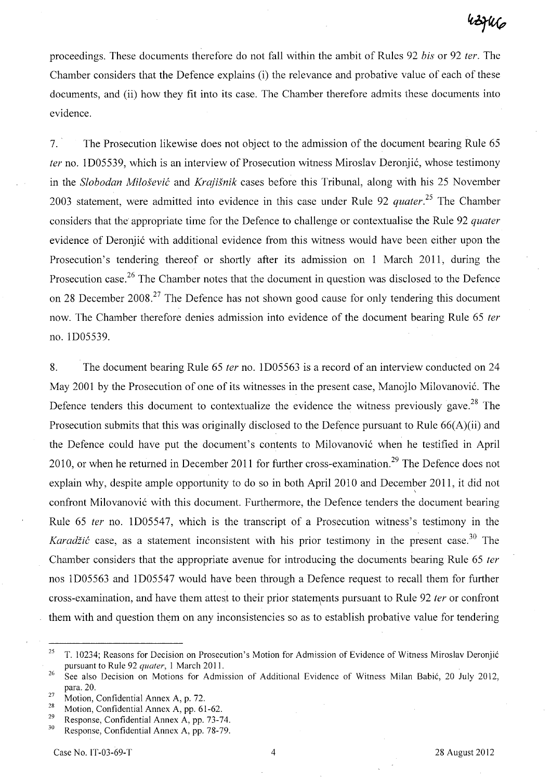proceedings. These documents therefore do not fall within the ambit of Rules 92 bis or 92 ter. The Chamber considers that the Defence explains (i) the relevance and probative value of each of these documents, and (ii) how they fit into its case. The Chamber therefore admits these documents into evidence.

7. The Prosecution likewise does not object to the admission of the document bearing Rule 65 ter no. 1D05539, which is an interview of Prosecution witness Miroslav Deronjić, whose testimony in the *Slobodan Milosevic* and *Krajisnik* cases before this Tribunal, along with his 25 November 2003 statement, were admitted into evidence in this case under Rule 92 *quater*.<sup>25</sup> The Chamber considers that the appropriate time for the Defence to challenge or contextualise the Rule 92 quater evidence of Deronjic with additional evidence from this witness would have been either upon the Prosecution's tendering thereof or shortly after its admission on 1 March 2011, during the Prosecution case.<sup>26</sup> The Chamber notes that the document in question was disclosed to the Defence on 28 December 2008.<sup>27</sup> The Defence has not shown good cause for only tendering this document now. The Chamber therefore denies admission into evidence of the document bearing Rule 65 ter no. lD05539.

8. The document bearing Rule 65 *ter* no. 1D05563 is a record of an interview conducted on 24 May 2001 by the Prosecution of one of its witnesses in the present case, Manojlo Milovanovic. The Defence tenders this document to contextualize the evidence the witness previously gave.<sup>28</sup> The Prosecution submits that this was originally disclosed to the Defence pursuant to Rule 66(A)(ii) and the Defence could have put the document's contents to Milovanovic when he testified in April 2010, or when he returned in December 2011 for further cross-examination.<sup>29</sup> The Defence does not explain why, despite ample opportunity to do so in both April 2010 and December 2011, it did not \ confront Milovanovic with this document. Furthermore, the Defence tenders the document bearing Rule 65 fer no. 1D05547, which is the transcript of a Prosecution witness's testimony in the Karadžić case, as a statement inconsistent with his prior testimony in the present case.<sup>30</sup> The Chamber considers that the appropriate avenue for introducing the documents bearing Rule 65 ter nos ID05563 and ID05547 would have been through a Defence request to recall them for further cross-examination, and have them attest to their prior statements pursuant to Rule 92 ter or confront them with and question them on any inconsistencies so as to establish probative value for tendering

<sup>&</sup>lt;sup>25</sup> T. 10234; Reasons for Decision on Prosecution's Motion for Admission of Evidence of Witness Miroslav Deronjić pursuant to Rule 92 *quater,* I March 2011.

<sup>&</sup>lt;sup>26</sup> See also Decision on Motions for Admission of Additional Evidence of Witness Milan Babić, 20 July 2012, para. 20.

<sup>&</sup>lt;sup>27</sup> Motion, Confidential Annex A, p. 72.

<sup>&</sup>lt;sup>28</sup> Motion, Confidential Annex A, pp. 61-62.

<sup>&</sup>lt;sup>29</sup> Response, Confidential Annex A, pp. 73-74.<br><sup>30</sup> Bennance Confidential Annex A, pp. 78-79.

Response, Confidential Annex A, pp. 78-79.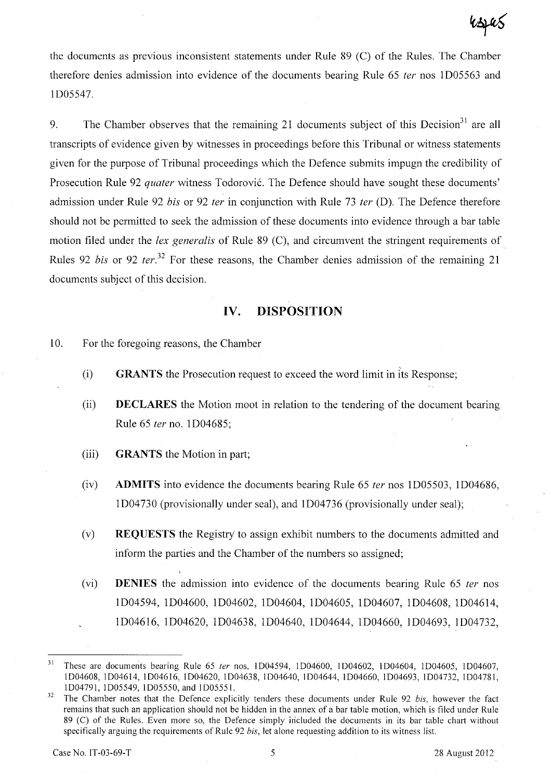the documents as previous inconsistent statements under Rule 89 (C) of the Rules. The Chamber therefore denies admission into evidence of the documents bearing Rule 65 ter nos 1D05563 and 1D05547.

9. The Chamber observes that the remaining 21 documents subject of this Decision<sup>31</sup> are all transcripts of evidence given by witnesses in proceedings before this Tribunal or witness statements given for the purpose of Tribunal proceedings which the Defence submits impugn the credibility of Prosecution Rule 92 *quater* witness Todorović. The Defence should have sought these documents' admission under Rule 92 bis or 92 ter in conjunction with Rule 73 ter (D). The Defence therefore should not be permitted to seek the admission of these documents into evidence through a bar table motion filed under the lex generalis of Rule 89 (C), and circumvent the stringent requirements of Rules 92 *bis* or 92 *ter.*<sup>32</sup> For these reasons, the Chamber denies admission of the remaining 21 documents subject of this decision.

## **IV. DISPOSITION**

- 10. For the foregoing reasons, the Chamber
	- (i) **GRANTS** the Prosecution request to exceed the word limit in its Response;
	- (ii) **DECLARES** the Motion moot in relation to the tendering of the document bearing Rule 65 fer no. 1D04685;
	- (iii) **GRANTS** the Motion in part;
	- (iv) **ADMITS** into evidence the documents bearing Rule 65 fer nos 1D05503, 1D04686, 1D04730 (provisionally under seal), and 1D04736 (provisionally under seal);
	- (v) **REQUESTS** the Registry' to assign exhibit numbers to the documents admitted and inform the parties and the Chamber of the numbers so assigned;
	- (vi) **DENIES** the admission into evidence of the documents bearing Rule 65 ter nos 1D04594, 1D04600, 1D04602, 1D04604, 1D04605, 1D04607, 1D04608, 1D04614, 1D04616, 1D04620, 1D04638, 1D04640, ID04644, 1D04660, ID04693, ID04732,

<sup>&</sup>lt;sup>31</sup> These are documents bearing Rule 65 *ter* nos, 1D04594, 1D04600, 1D04602, 1D04604, 1D04605, 1D04607, 1004608, lD04614, 1004616, 1004620, 1004638, 1004640, 1004644, 1004660, 1004693, 1004732, lD04781, lD04791, 1005549, 1005550, and 1005551.

<sup>&</sup>lt;sup>32</sup> The Chamber notes that the Defence explicitly tenders these documents under Rule 92 *bis*, however the fact remains that such an application should not be hidden in the annex of a bar table motion, which is filed under Rule 89 (C) of the Rules. Even more so, the Defence simply included the documents in its bar table chart without specifically arguing the requirements of Rule 92 *his,* let alone requesting addition to its witness list.